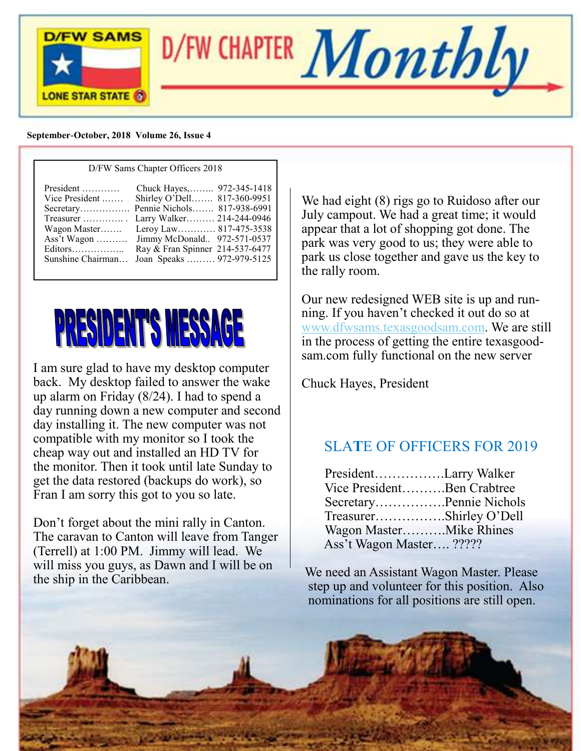

### **September-October, 2018 Volume 26, Issue 4**

| D/FW Sams Chapter Officers 2018                                                          |                                                                                                                                                                                                                                                                      |  |  |
|------------------------------------------------------------------------------------------|----------------------------------------------------------------------------------------------------------------------------------------------------------------------------------------------------------------------------------------------------------------------|--|--|
| President<br>Vice President<br>Treasurer<br>Wagon Master<br>Editors<br>Sunshine Chairman | Chuck Hayes, 972-345-1418<br>Shirley O'Dell 817-360-9951<br>Secretary Pennie Nichols 817-938-6991<br>Larry Walker 214-244-0946<br>Leroy Law 817-475-3538<br>Ass't Wagon  Jimmy McDonald 972-571-0537<br>Ray & Fran Spinner 214-537-6477<br>Joan Speaks  972-979-5125 |  |  |

# PRESIDENT'S MESSAGE

I am sure glad to have my desktop computer back. My desktop failed to answer the wake up alarm on Friday (8/24). I had to spend a day running down a new computer and second day installing it. The new computer was not compatible with my monitor so I took the cheap way out and installed an HD TV for the monitor. Then it took until late Sunday to get the data restored (backups do work), so Fran I am sorry this got to you so late.

Don't forget about the mini rally in Canton. The caravan to Canton will leave from Tanger (Terrell) at 1:00 PM. Jimmy will lead. We will miss you guys, as Dawn and I will be on the ship in the Caribbean.

We had eight (8) rigs go to Ruidoso after our July campout. We had a great time; it would appear that a lot of shopping got done. The park was very good to us; they were able to park us close together and gave us the key to the rally room.

Our new redesigned WEB site is up and running. If you haven't checked it out do so at [www.dfwsams.texasgoodsam.com.](http://www.dfwsams.texasgoodsam.com) We are still in the process of getting the entire texasgoodsam.com fully functional on the new server

Chuck Hayes, President

# SLA**T**E OF OFFICERS FOR 2019

|                          | PresidentLarry Walker      |
|--------------------------|----------------------------|
|                          | Vice PresidentBen Crabtree |
|                          | SecretaryPennie Nichols    |
|                          | TreasurerShirley O'Dell    |
|                          | Wagon MasterMike Rhines    |
| Ass't Wagon Master ????? |                            |

We need an Assistant Wagon Master. Please step up and volunteer for this position. Also nominations for all positions are still open.

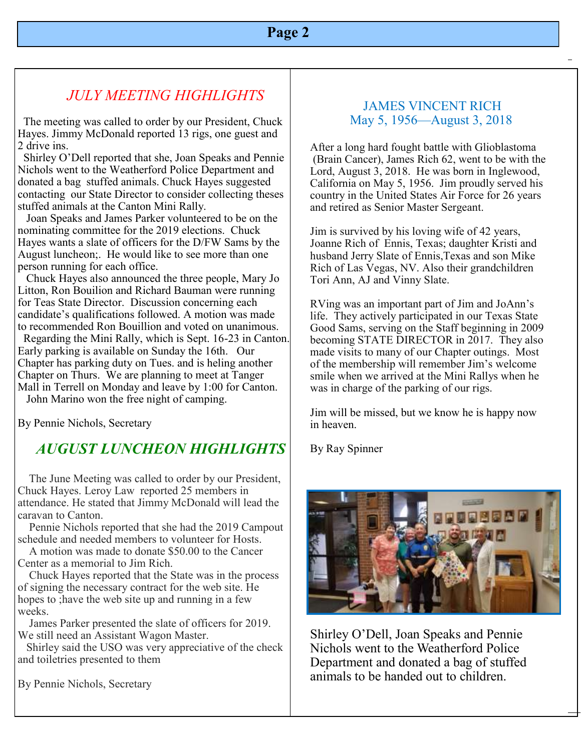# **Page 2**

# *JULY MEETING HIGHLIGHTS*

 The meeting was called to order by our President, Chuck Hayes. Jimmy McDonald reported 13 rigs, one guest and 2 drive ins.

 Shirley O'Dell reported that she, Joan Speaks and Pennie Nichols went to the Weatherford Police Department and donated a bag stuffed animals. Chuck Hayes suggested contacting our State Director to consider collecting theses stuffed animals at the Canton Mini Rally.

 Joan Speaks and James Parker volunteered to be on the nominating committee for the 2019 elections. Chuck Hayes wants a slate of officers for the D/FW Sams by the August luncheon;. He would like to see more than one person running for each office.

 Chuck Hayes also announced the three people, Mary Jo Litton, Ron Bouilion and Richard Bauman were running for Teas State Director. Discussion concerning each candidate's qualifications followed. A motion was made to recommended Ron Bouillion and voted on unanimous.

 Regarding the Mini Rally, which is Sept. 16-23 in Canton. Early parking is available on Sunday the 16th. Our Chapter has parking duty on Tues. and is heling another Chapter on Thurs. We are planning to meet at Tanger Mall in Terrell on Monday and leave by 1:00 for Canton.

John Marino won the free night of camping.

By Pennie Nichols, Secretary

# *AUGUST LUNCHEON HIGHLIGHTS*

The June Meeting was called to order by our President, Chuck Hayes. Leroy Law reported 25 members in attendance. He stated that Jimmy McDonald will lead the caravan to Canton.

 Pennie Nichols reported that she had the 2019 Campout schedule and needed members to volunteer for Hosts.

 A motion was made to donate \$50.00 to the Cancer Center as a memorial to Jim Rich.

 Chuck Hayes reported that the State was in the process of signing the necessary contract for the web site. He hopes to ;have the web site up and running in a few weeks.

 James Parker presented the slate of officers for 2019. We still need an Assistant Wagon Master.

 Shirley said the USO was very appreciative of the check and toiletries presented to them

By Pennie Nichols, Secretary

### JAMES VINCENT RICH May 5, 1956—August 3, 2018

After a long hard fought battle with Glioblastoma (Brain Cancer), James Rich 62, went to be with the Lord, August 3, 2018. He was born in Inglewood, California on May 5, 1956. Jim proudly served his country in the United States Air Force for 26 years and retired as Senior Master Sergeant.

Jim is survived by his loving wife of 42 years, Joanne Rich of Ennis, Texas; daughter Kristi and husband Jerry Slate of Ennis,Texas and son Mike Rich of Las Vegas, NV. Also their grandchildren Tori Ann, AJ and Vinny Slate.

RVing was an important part of Jim and JoAnn's life. They actively participated in our Texas State Good Sams, serving on the Staff beginning in 2009 becoming STATE DIRECTOR in 2017. They also made visits to many of our Chapter outings. Most of the membership will remember Jim's welcome smile when we arrived at the Mini Rallys when he was in charge of the parking of our rigs.

Jim will be missed, but we know he is happy now in heaven.

By Ray Spinner



Shirley O'Dell, Joan Speaks and Pennie Nichols went to the Weatherford Police Department and donated a bag of stuffed animals to be handed out to children.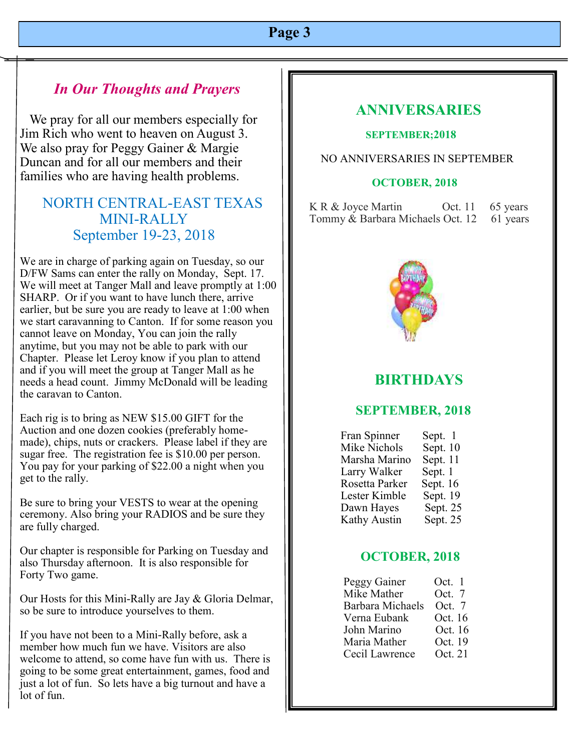# *In Our Thoughts and Prayers*

 We pray for all our members especially for Jim Rich who went to heaven on August 3. We also pray for Peggy Gainer & Margie Duncan and for all our members and their families who are having health problems.

# NORTH CENTRAL-EAST TEXAS MINI-RALLY September 19-23, 2018

We are in charge of parking again on Tuesday, so our D/FW Sams can enter the rally on Monday, Sept. 17. We will meet at Tanger Mall and leave promptly at 1:00 SHARP. Or if you want to have lunch there, arrive earlier, but be sure you are ready to leave at 1:00 when we start caravanning to Canton. If for some reason you cannot leave on Monday, You can join the rally anytime, but you may not be able to park with our Chapter. Please let Leroy know if you plan to attend and if you will meet the group at Tanger Mall as he needs a head count. Jimmy McDonald will be leading the caravan to Canton.

Each rig is to bring as NEW \$15.00 GIFT for the Auction and one dozen cookies (preferably homemade), chips, nuts or crackers. Please label if they are sugar free. The registration fee is \$10.00 per person. You pay for your parking of \$22.00 a night when you get to the rally.

Be sure to bring your VESTS to wear at the opening ceremony. Also bring your RADIOS and be sure they are fully charged.

Our chapter is responsible for Parking on Tuesday and also Thursday afternoon. It is also responsible for Forty Two game.

Our Hosts for this Mini-Rally are Jay & Gloria Delmar, so be sure to introduce yourselves to them.

If you have not been to a Mini-Rally before, ask a member how much fun we have. Visitors are also welcome to attend, so come have fun with us. There is going to be some great entertainment, games, food and just a lot of fun. So lets have a big turnout and have a lot of fun.

# **ANNIVERSARIES**

### **SEPTEMBER;2018**

### NO ANNIVERSARIES IN SEPTEMBER

### **OCTOBER, 2018**

K R & Joyce Martin Oct. 11 65 years Tommy & Barbara Michaels Oct. 12 61 years



# **BIRTHDAYS**

## **SEPTEMBER, 2018**

| Fran Spinner   | Sept. 1    |
|----------------|------------|
| Mike Nichols   | Sept. 10   |
| Marsha Marino  | Sept. 11   |
| Larry Walker   | Sept. 1    |
| Rosetta Parker | Sept. $16$ |
| Lester Kimble  | Sept. 19   |
| Dawn Hayes     | Sept. 25   |
| Kathy Austin   | Sept. 25   |

## **OCTOBER, 2018**

| Peggy Gainer     | Oct. 1  |
|------------------|---------|
| Mike Mather      | Oct. 7  |
| Barbara Michaels | Oct. 7  |
| Verna Eubank     | Oct. 16 |
| John Marino      | Oct. 16 |
| Maria Mather     | Oct. 19 |
| Cecil Lawrence   | Oct. 21 |